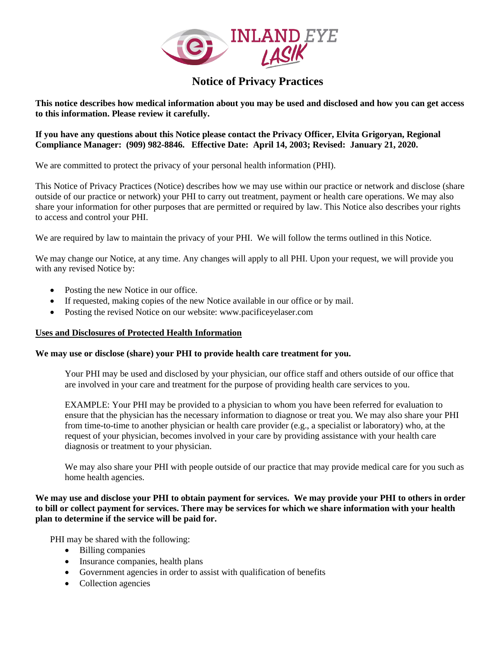

# **Notice of Privacy Practices**

**This notice describes how medical information about you may be used and disclosed and how you can get access to this information. Please review it carefully.** 

**If you have any questions about this Notice please contact the Privacy Officer, Elvita Grigoryan, Regional Compliance Manager: (909) 982-8846. Effective Date: April 14, 2003; Revised: January 21, 2020.**

We are committed to protect the privacy of your personal health information (PHI).

This Notice of Privacy Practices (Notice) describes how we may use within our practice or network and disclose (share outside of our practice or network) your PHI to carry out treatment, payment or health care operations. We may also share your information for other purposes that are permitted or required by law. This Notice also describes your rights to access and control your PHI.

We are required by law to maintain the privacy of your PHI. We will follow the terms outlined in this Notice.

We may change our Notice, at any time. Any changes will apply to all PHI. Upon your request, we will provide you with any revised Notice by:

- Posting the new Notice in our office.
- If requested, making copies of the new Notice available in our office or by mail.
- Posting the revised Notice on our website: www.pacificeyelaser.com

# **Uses and Disclosures of Protected Health Information**

# **We may use or disclose (share) your PHI to provide health care treatment for you.**

Your PHI may be used and disclosed by your physician, our office staff and others outside of our office that are involved in your care and treatment for the purpose of providing health care services to you.

EXAMPLE: Your PHI may be provided to a physician to whom you have been referred for evaluation to ensure that the physician has the necessary information to diagnose or treat you. We may also share your PHI from time-to-time to another physician or health care provider (e.g., a specialist or laboratory) who, at the request of your physician, becomes involved in your care by providing assistance with your health care diagnosis or treatment to your physician.

We may also share your PHI with people outside of our practice that may provide medical care for you such as home health agencies.

# **We may use and disclose your PHI to obtain payment for services. We may provide your PHI to others in order to bill or collect payment for services. There may be services for which we share information with your health plan to determine if the service will be paid for.**

PHI may be shared with the following:

- Billing companies
- Insurance companies, health plans
- Government agencies in order to assist with qualification of benefits
- Collection agencies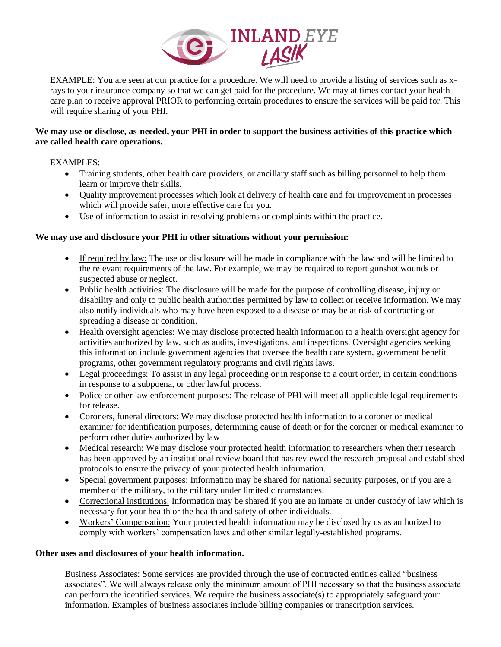

EXAMPLE: You are seen at our practice for a procedure. We will need to provide a listing of services such as xrays to your insurance company so that we can get paid for the procedure. We may at times contact your health care plan to receive approval PRIOR to performing certain procedures to ensure the services will be paid for. This will require sharing of your PHI.

# **We may use or disclose, as-needed, your PHI in order to support the business activities of this practice which are called health care operations.**

# EXAMPLES:

- Training students, other health care providers, or ancillary staff such as billing personnel to help them learn or improve their skills.
- Quality improvement processes which look at delivery of health care and for improvement in processes which will provide safer, more effective care for you.
- Use of information to assist in resolving problems or complaints within the practice.

# **We may use and disclosure your PHI in other situations without your permission:**

- If required by law: The use or disclosure will be made in compliance with the law and will be limited to the relevant requirements of the law. For example, we may be required to report gunshot wounds or suspected abuse or neglect.
- Public health activities: The disclosure will be made for the purpose of controlling disease, injury or disability and only to public health authorities permitted by law to collect or receive information. We may also notify individuals who may have been exposed to a disease or may be at risk of contracting or spreading a disease or condition.
- Health oversight agencies: We may disclose protected health information to a health oversight agency for activities authorized by law, such as audits, investigations, and inspections. Oversight agencies seeking this information include government agencies that oversee the health care system, government benefit programs, other government regulatory programs and civil rights laws.
- Legal proceedings: To assist in any legal proceeding or in response to a court order, in certain conditions in response to a subpoena, or other lawful process.
- Police or other law enforcement purposes: The release of PHI will meet all applicable legal requirements for release.
- Coroners, funeral directors: We may disclose protected health information to a coroner or medical examiner for identification purposes, determining cause of death or for the coroner or medical examiner to perform other duties authorized by law
- Medical research: We may disclose your protected health information to researchers when their research has been approved by an institutional review board that has reviewed the research proposal and established protocols to ensure the privacy of your protected health information.
- Special government purposes: Information may be shared for national security purposes, or if you are a member of the military, to the military under limited circumstances.
- Correctional institutions: Information may be shared if you are an inmate or under custody of law which is necessary for your health or the health and safety of other individuals.
- Workers' Compensation: Your protected health information may be disclosed by us as authorized to comply with workers' compensation laws and other similar legally-established programs.

# **Other uses and disclosures of your health information.**

Business Associates: Some services are provided through the use of contracted entities called "business associates". We will always release only the minimum amount of PHI necessary so that the business associate can perform the identified services. We require the business associate(s) to appropriately safeguard your information. Examples of business associates include billing companies or transcription services.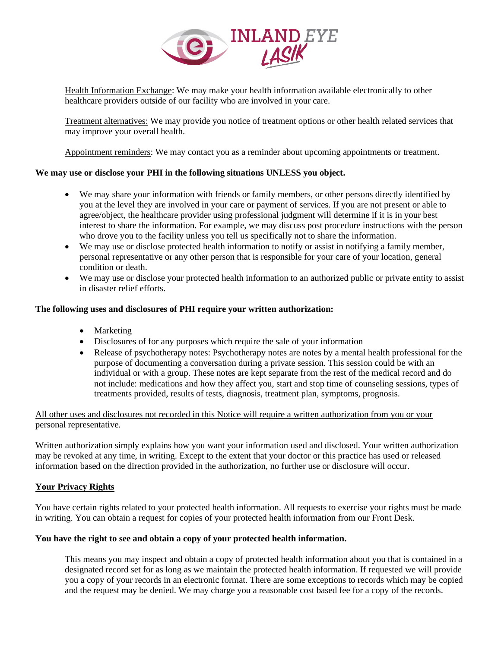

Health Information Exchange: We may make your health information available electronically to other healthcare providers outside of our facility who are involved in your care.

Treatment alternatives: We may provide you notice of treatment options or other health related services that may improve your overall health.

Appointment reminders: We may contact you as a reminder about upcoming appointments or treatment.

# **We may use or disclose your PHI in the following situations UNLESS you object.**

- We may share your information with friends or family members, or other persons directly identified by you at the level they are involved in your care or payment of services. If you are not present or able to agree/object, the healthcare provider using professional judgment will determine if it is in your best interest to share the information. For example, we may discuss post procedure instructions with the person who drove you to the facility unless you tell us specifically not to share the information.
- We may use or disclose protected health information to notify or assist in notifying a family member, personal representative or any other person that is responsible for your care of your location, general condition or death.
- We may use or disclose your protected health information to an authorized public or private entity to assist in disaster relief efforts.

# **The following uses and disclosures of PHI require your written authorization:**

- Marketing
- Disclosures of for any purposes which require the sale of your information
- Release of psychotherapy notes: Psychotherapy notes are notes by a mental health professional for the purpose of documenting a conversation during a private session. This session could be with an individual or with a group. These notes are kept separate from the rest of the medical record and do not include: medications and how they affect you, start and stop time of counseling sessions, types of treatments provided, results of tests, diagnosis, treatment plan, symptoms, prognosis.

# All other uses and disclosures not recorded in this Notice will require a written authorization from you or your personal representative.

Written authorization simply explains how you want your information used and disclosed. Your written authorization may be revoked at any time, in writing. Except to the extent that your doctor or this practice has used or released information based on the direction provided in the authorization, no further use or disclosure will occur.

# **Your Privacy Rights**

You have certain rights related to your protected health information. All requests to exercise your rights must be made in writing. You can obtain a request for copies of your protected health information from our Front Desk.

# **You have the right to see and obtain a copy of your protected health information.**

This means you may inspect and obtain a copy of protected health information about you that is contained in a designated record set for as long as we maintain the protected health information. If requested we will provide you a copy of your records in an electronic format. There are some exceptions to records which may be copied and the request may be denied. We may charge you a reasonable cost based fee for a copy of the records.